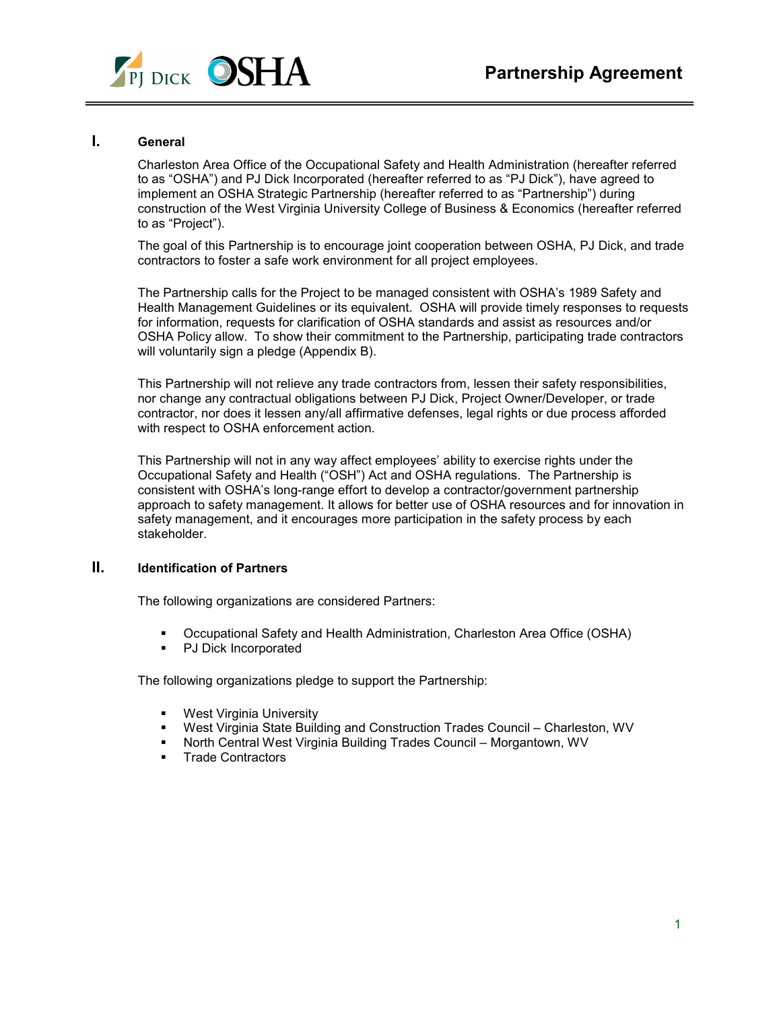

# **I. General**

Charleston Area Office of the Occupational Safety and Health Administration (hereafter referred to as "OSHA") and PJ Dick Incorporated (hereafter referred to as "PJ Dick"), have agreed to implement an OSHA Strategic Partnership (hereafter referred to as "Partnership") during construction of the West Virginia University College of Business & Economics (hereafter referred to as "Project").

The goal of this Partnership is to encourage joint cooperation between OSHA, PJ Dick, and trade contractors to foster a safe work environment for all project employees.

The Partnership calls for the Project to be managed consistent with OSHA's 1989 Safety and Health Management Guidelines or its equivalent. OSHA will provide timely responses to requests for information, requests for clarification of OSHA standards and assist as resources and/or OSHA Policy allow. To show their commitment to the Partnership, participating trade contractors will voluntarily sign a pledge (Appendix B).

This Partnership will not relieve any trade contractors from, lessen their safety responsibilities, nor change any contractual obligations between PJ Dick, Project Owner/Developer, or trade contractor, nor does it lessen any/all affirmative defenses, legal rights or due process afforded with respect to OSHA enforcement action.

This Partnership will not in any way affect employees' ability to exercise rights under the Occupational Safety and Health ("OSH") Act and OSHA regulations. The Partnership is consistent with OSHA's long-range effort to develop a contractor/government partnership approach to safety management. It allows for better use of OSHA resources and for innovation in safety management, and it encourages more participation in the safety process by each stakeholder.

# **II. Identification of Partners**

The following organizations are considered Partners:

- Occupational Safety and Health Administration, Charleston Area Office (OSHA)
- PJ Dick Incorporated

The following organizations pledge to support the Partnership:

- **West Virginia University**
- West Virginia State Building and Construction Trades Council Charleston, WV
- North Central West Virginia Building Trades Council Morgantown, WV
- **Trade Contractors**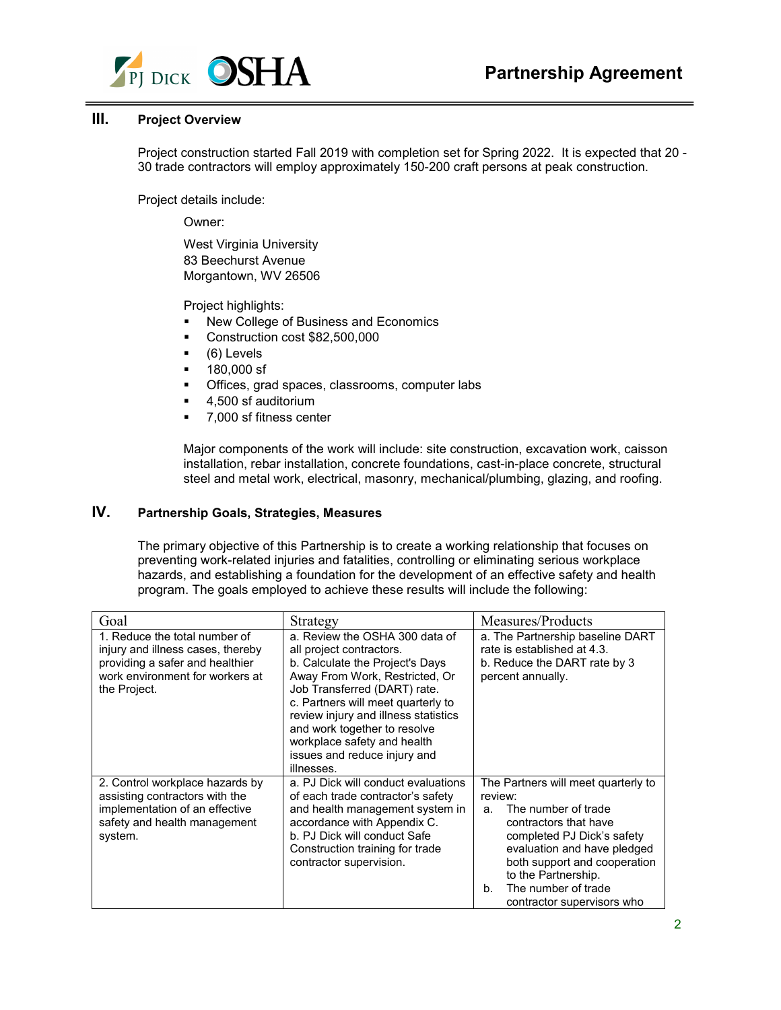

# **III. Project Overview**

Project construction started Fall 2019 with completion set for Spring 2022. It is expected that 20 - 30 trade contractors will employ approximately 150-200 craft persons at peak construction.

Project details include:

Owner:

West Virginia University 83 Beechurst Avenue Morgantown, WV 26506

Project highlights:

- **New College of Business and Economics**
- Construction cost \$82,500,000
- (6) Levels
- **180,000 sf**
- **•** Offices, grad spaces, classrooms, computer labs
- 4,500 sf auditorium
- 7.000 sf fitness center

Major components of the work will include: site construction, excavation work, caisson installation, rebar installation, concrete foundations, cast-in-place concrete, structural steel and metal work, electrical, masonry, mechanical/plumbing, glazing, and roofing.

# **IV. Partnership Goals, Strategies, Measures**

The primary objective of this Partnership is to create a working relationship that focuses on preventing work-related injuries and fatalities, controlling or eliminating serious workplace hazards, and establishing a foundation for the development of an effective safety and health program. The goals employed to achieve these results will include the following:

| Goal                                                                                                                                                     | Strategy                                                                                                                                                                                                                                                                                                                                                   | Measures/Products                                                                                                                                                                                                                                                                   |
|----------------------------------------------------------------------------------------------------------------------------------------------------------|------------------------------------------------------------------------------------------------------------------------------------------------------------------------------------------------------------------------------------------------------------------------------------------------------------------------------------------------------------|-------------------------------------------------------------------------------------------------------------------------------------------------------------------------------------------------------------------------------------------------------------------------------------|
| 1. Reduce the total number of<br>injury and illness cases, thereby<br>providing a safer and healthier<br>work environment for workers at<br>the Project. | a. Review the OSHA 300 data of<br>all project contractors.<br>b. Calculate the Project's Days<br>Away From Work, Restricted, Or<br>Job Transferred (DART) rate.<br>c. Partners will meet quarterly to<br>review injury and illness statistics<br>and work together to resolve<br>workplace safety and health<br>issues and reduce injury and<br>illnesses. | a. The Partnership baseline DART<br>rate is established at 4.3.<br>b. Reduce the DART rate by 3<br>percent annually.                                                                                                                                                                |
| 2. Control workplace hazards by<br>assisting contractors with the<br>implementation of an effective<br>safety and health management<br>system.           | a. PJ Dick will conduct evaluations<br>of each trade contractor's safety<br>and health management system in<br>accordance with Appendix C.<br>b. PJ Dick will conduct Safe<br>Construction training for trade<br>contractor supervision.                                                                                                                   | The Partners will meet quarterly to<br>review:<br>The number of trade<br>a.<br>contractors that have<br>completed PJ Dick's safety<br>evaluation and have pledged<br>both support and cooperation<br>to the Partnership.<br>The number of trade<br>b.<br>contractor supervisors who |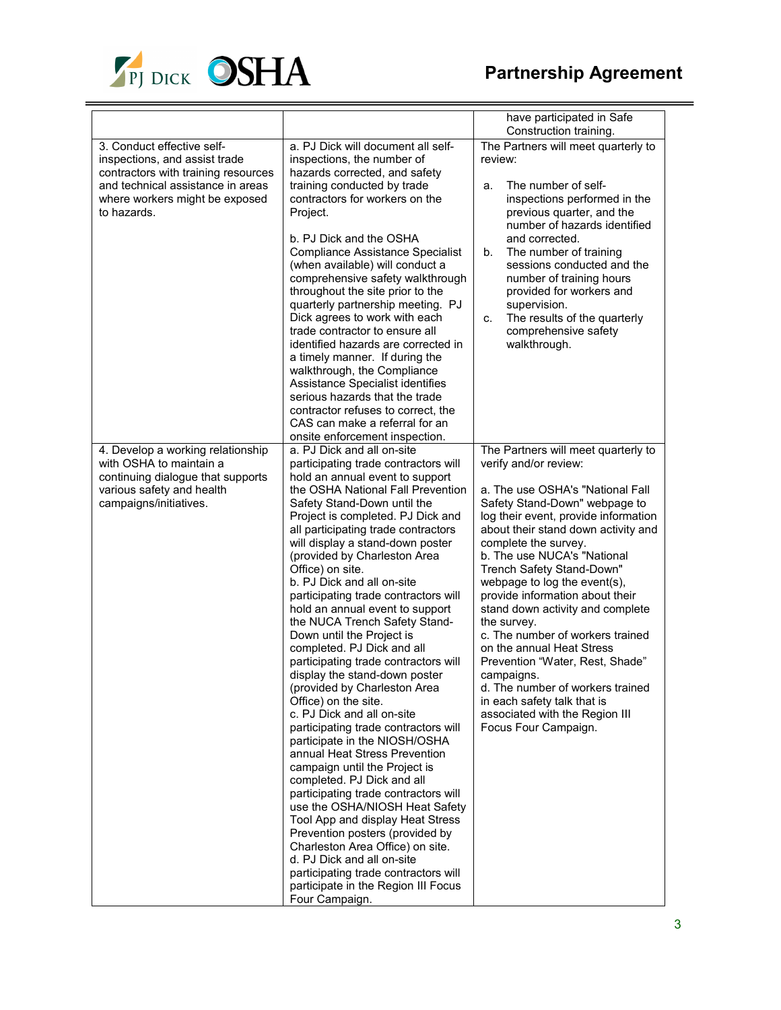

|                                                                                                                                                                                          |                                                                                                                                                                                                                                                                                                                                                                                                                                                                                                                                                                                                                                                                                                                                                                                                                                                                                                                                                                                                                                                                                                                                                                                  | have participated in Safe                                                                                                                                                                                                                                                                                                                                                                                                                                                                                                                                                                                                          |
|------------------------------------------------------------------------------------------------------------------------------------------------------------------------------------------|----------------------------------------------------------------------------------------------------------------------------------------------------------------------------------------------------------------------------------------------------------------------------------------------------------------------------------------------------------------------------------------------------------------------------------------------------------------------------------------------------------------------------------------------------------------------------------------------------------------------------------------------------------------------------------------------------------------------------------------------------------------------------------------------------------------------------------------------------------------------------------------------------------------------------------------------------------------------------------------------------------------------------------------------------------------------------------------------------------------------------------------------------------------------------------|------------------------------------------------------------------------------------------------------------------------------------------------------------------------------------------------------------------------------------------------------------------------------------------------------------------------------------------------------------------------------------------------------------------------------------------------------------------------------------------------------------------------------------------------------------------------------------------------------------------------------------|
| 3. Conduct effective self-<br>inspections, and assist trade<br>contractors with training resources<br>and technical assistance in areas<br>where workers might be exposed<br>to hazards. | a. PJ Dick will document all self-<br>inspections, the number of<br>hazards corrected, and safety<br>training conducted by trade<br>contractors for workers on the<br>Project.<br>b. PJ Dick and the OSHA<br><b>Compliance Assistance Specialist</b><br>(when available) will conduct a<br>comprehensive safety walkthrough<br>throughout the site prior to the<br>quarterly partnership meeting. PJ<br>Dick agrees to work with each<br>trade contractor to ensure all<br>identified hazards are corrected in<br>a timely manner. If during the<br>walkthrough, the Compliance<br>Assistance Specialist identifies<br>serious hazards that the trade<br>contractor refuses to correct, the                                                                                                                                                                                                                                                                                                                                                                                                                                                                                      | Construction training.<br>The Partners will meet quarterly to<br>review:<br>The number of self-<br>a.<br>inspections performed in the<br>previous quarter, and the<br>number of hazards identified<br>and corrected.<br>The number of training<br>b.<br>sessions conducted and the<br>number of training hours<br>provided for workers and<br>supervision.<br>The results of the quarterly<br>C.<br>comprehensive safety<br>walkthrough.                                                                                                                                                                                           |
| 4. Develop a working relationship<br>with OSHA to maintain a                                                                                                                             | CAS can make a referral for an<br>onsite enforcement inspection.<br>a. PJ Dick and all on-site                                                                                                                                                                                                                                                                                                                                                                                                                                                                                                                                                                                                                                                                                                                                                                                                                                                                                                                                                                                                                                                                                   | The Partners will meet quarterly to                                                                                                                                                                                                                                                                                                                                                                                                                                                                                                                                                                                                |
| continuing dialogue that supports<br>various safety and health<br>campaigns/initiatives.                                                                                                 | participating trade contractors will<br>hold an annual event to support<br>the OSHA National Fall Prevention<br>Safety Stand-Down until the<br>Project is completed. PJ Dick and<br>all participating trade contractors<br>will display a stand-down poster<br>(provided by Charleston Area<br>Office) on site.<br>b. PJ Dick and all on-site<br>participating trade contractors will<br>hold an annual event to support<br>the NUCA Trench Safety Stand-<br>Down until the Project is<br>completed. PJ Dick and all<br>participating trade contractors will<br>display the stand-down poster<br>(provided by Charleston Area<br>Office) on the site.<br>c. PJ Dick and all on-site<br>participating trade contractors will<br>participate in the NIOSH/OSHA<br>annual Heat Stress Prevention<br>campaign until the Project is<br>completed. PJ Dick and all<br>participating trade contractors will<br>use the OSHA/NIOSH Heat Safety<br>Tool App and display Heat Stress<br>Prevention posters (provided by<br>Charleston Area Office) on site.<br>d. PJ Dick and all on-site<br>participating trade contractors will<br>participate in the Region III Focus<br>Four Campaign. | verify and/or review:<br>a. The use OSHA's "National Fall<br>Safety Stand-Down" webpage to<br>log their event, provide information<br>about their stand down activity and<br>complete the survey.<br>b. The use NUCA's "National<br>Trench Safety Stand-Down"<br>webpage to log the event(s),<br>provide information about their<br>stand down activity and complete<br>the survey.<br>c. The number of workers trained<br>on the annual Heat Stress<br>Prevention "Water, Rest, Shade"<br>campaigns.<br>d. The number of workers trained<br>in each safety talk that is<br>associated with the Region III<br>Focus Four Campaign. |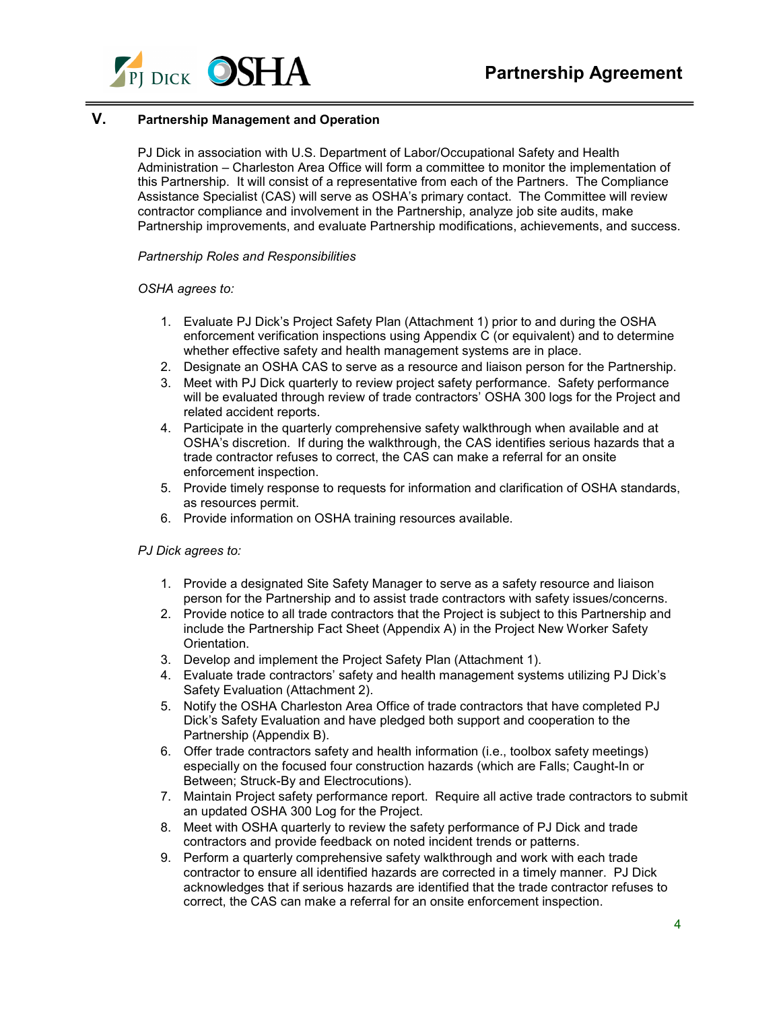

# **V. Partnership Management and Operation**

PJ Dick in association with U.S. Department of Labor/Occupational Safety and Health Administration – Charleston Area Office will form a committee to monitor the implementation of this Partnership. It will consist of a representative from each of the Partners. The Compliance Assistance Specialist (CAS) will serve as OSHA's primary contact. The Committee will review contractor compliance and involvement in the Partnership, analyze job site audits, make Partnership improvements, and evaluate Partnership modifications, achievements, and success.

#### *Partnership Roles and Responsibilities*

### *OSHA agrees to:*

- 1. Evaluate PJ Dick's Project Safety Plan (Attachment 1) prior to and during the OSHA enforcement verification inspections using Appendix C (or equivalent) and to determine whether effective safety and health management systems are in place.
- 2. Designate an OSHA CAS to serve as a resource and liaison person for the Partnership.
- 3. Meet with PJ Dick quarterly to review project safety performance. Safety performance will be evaluated through review of trade contractors' OSHA 300 logs for the Project and related accident reports.
- 4. Participate in the quarterly comprehensive safety walkthrough when available and at OSHA's discretion. If during the walkthrough, the CAS identifies serious hazards that a trade contractor refuses to correct, the CAS can make a referral for an onsite enforcement inspection.
- 5. Provide timely response to requests for information and clarification of OSHA standards, as resources permit.
- 6. Provide information on OSHA training resources available.

#### *PJ Dick agrees to:*

- 1. Provide a designated Site Safety Manager to serve as a safety resource and liaison person for the Partnership and to assist trade contractors with safety issues/concerns.
- 2. Provide notice to all trade contractors that the Project is subject to this Partnership and include the Partnership Fact Sheet (Appendix A) in the Project New Worker Safety Orientation.
- 3. Develop and implement the Project Safety Plan (Attachment 1).
- 4. Evaluate trade contractors' safety and health management systems utilizing PJ Dick's Safety Evaluation (Attachment 2).
- 5. Notify the OSHA Charleston Area Office of trade contractors that have completed PJ Dick's Safety Evaluation and have pledged both support and cooperation to the Partnership (Appendix B).
- 6. Offer trade contractors safety and health information (i.e., toolbox safety meetings) especially on the focused four construction hazards (which are Falls; Caught-In or Between; Struck-By and Electrocutions).
- 7. Maintain Project safety performance report. Require all active trade contractors to submit an updated OSHA 300 Log for the Project.
- 8. Meet with OSHA quarterly to review the safety performance of PJ Dick and trade contractors and provide feedback on noted incident trends or patterns.
- 9. Perform a quarterly comprehensive safety walkthrough and work with each trade contractor to ensure all identified hazards are corrected in a timely manner. PJ Dick acknowledges that if serious hazards are identified that the trade contractor refuses to correct, the CAS can make a referral for an onsite enforcement inspection.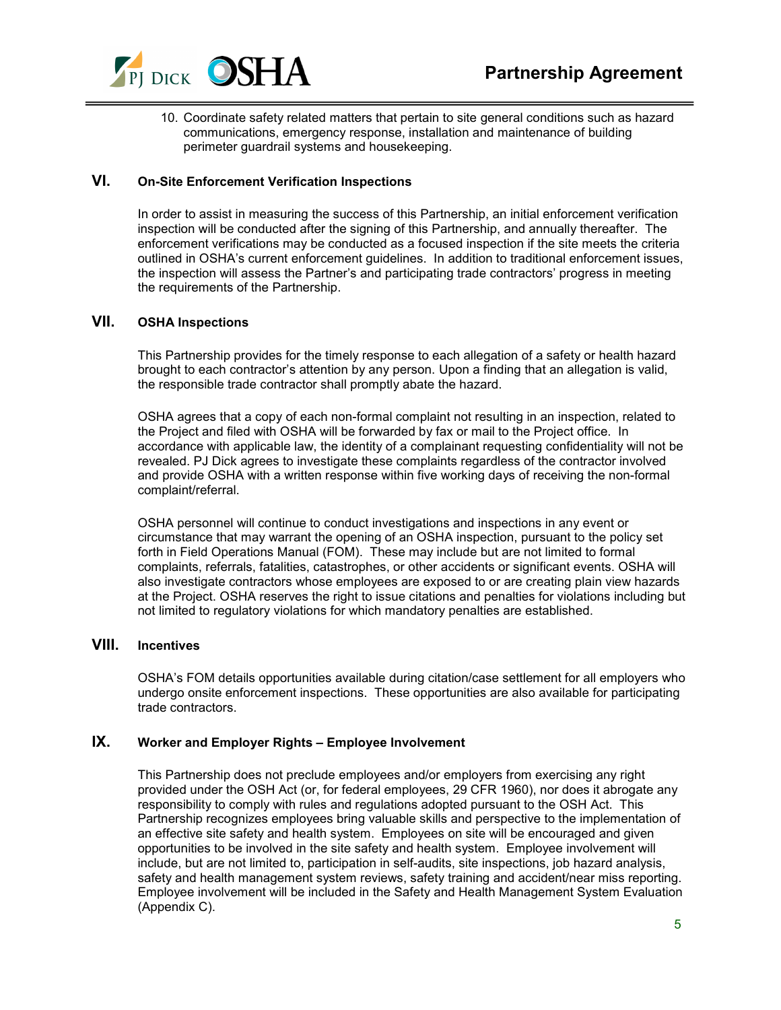

10. Coordinate safety related matters that pertain to site general conditions such as hazard communications, emergency response, installation and maintenance of building perimeter guardrail systems and housekeeping.

# **VI. On-Site Enforcement Verification Inspections**

In order to assist in measuring the success of this Partnership, an initial enforcement verification inspection will be conducted after the signing of this Partnership, and annually thereafter. The enforcement verifications may be conducted as a focused inspection if the site meets the criteria outlined in OSHA's current enforcement guidelines. In addition to traditional enforcement issues, the inspection will assess the Partner's and participating trade contractors' progress in meeting the requirements of the Partnership.

## **VII. OSHA Inspections**

This Partnership provides for the timely response to each allegation of a safety or health hazard brought to each contractor's attention by any person. Upon a finding that an allegation is valid, the responsible trade contractor shall promptly abate the hazard.

OSHA agrees that a copy of each non-formal complaint not resulting in an inspection, related to the Project and filed with OSHA will be forwarded by fax or mail to the Project office. In accordance with applicable law, the identity of a complainant requesting confidentiality will not be revealed. PJ Dick agrees to investigate these complaints regardless of the contractor involved and provide OSHA with a written response within five working days of receiving the non-formal complaint/referral.

OSHA personnel will continue to conduct investigations and inspections in any event or circumstance that may warrant the opening of an OSHA inspection, pursuant to the policy set forth in Field Operations Manual (FOM). These may include but are not limited to formal complaints, referrals, fatalities, catastrophes, or other accidents or significant events. OSHA will also investigate contractors whose employees are exposed to or are creating plain view hazards at the Project. OSHA reserves the right to issue citations and penalties for violations including but not limited to regulatory violations for which mandatory penalties are established.

## **VIII. Incentives**

OSHA's FOM details opportunities available during citation/case settlement for all employers who undergo onsite enforcement inspections. These opportunities are also available for participating trade contractors.

## **IX. Worker and Employer Rights – Employee Involvement**

This Partnership does not preclude employees and/or employers from exercising any right provided under the OSH Act (or, for federal employees, 29 CFR 1960), nor does it abrogate any responsibility to comply with rules and regulations adopted pursuant to the OSH Act. This Partnership recognizes employees bring valuable skills and perspective to the implementation of an effective site safety and health system. Employees on site will be encouraged and given opportunities to be involved in the site safety and health system. Employee involvement will include, but are not limited to, participation in self-audits, site inspections, job hazard analysis, safety and health management system reviews, safety training and accident/near miss reporting. Employee involvement will be included in the Safety and Health Management System Evaluation (Appendix C).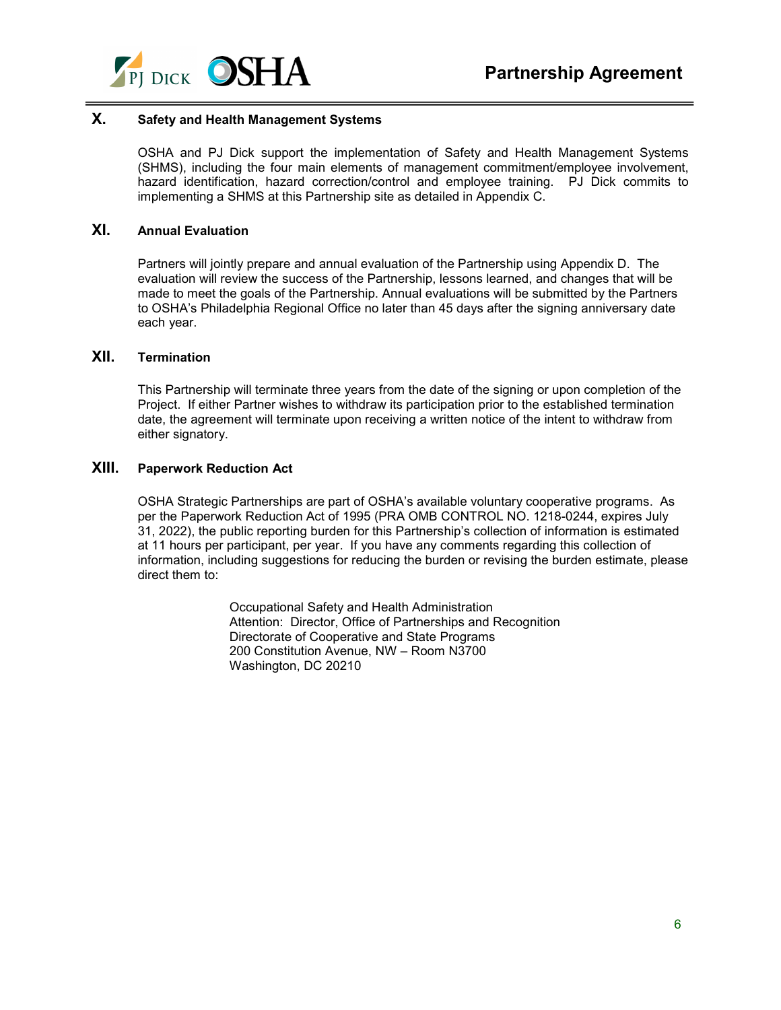

# **X. Safety and Health Management Systems**

OSHA and PJ Dick support the implementation of Safety and Health Management Systems (SHMS), including the four main elements of management commitment/employee involvement, hazard identification, hazard correction/control and employee training. PJ Dick commits to implementing a SHMS at this Partnership site as detailed in Appendix C.

## **XI. Annual Evaluation**

Partners will jointly prepare and annual evaluation of the Partnership using Appendix D. The evaluation will review the success of the Partnership, lessons learned, and changes that will be made to meet the goals of the Partnership. Annual evaluations will be submitted by the Partners to OSHA's Philadelphia Regional Office no later than 45 days after the signing anniversary date each year.

# **XII. Termination**

This Partnership will terminate three years from the date of the signing or upon completion of the Project. If either Partner wishes to withdraw its participation prior to the established termination date, the agreement will terminate upon receiving a written notice of the intent to withdraw from either signatory.

### **XIII. Paperwork Reduction Act**

OSHA Strategic Partnerships are part of OSHA's available voluntary cooperative programs. As per the Paperwork Reduction Act of 1995 (PRA OMB CONTROL NO. 1218-0244, expires July 31, 2022), the public reporting burden for this Partnership's collection of information is estimated at 11 hours per participant, per year. If you have any comments regarding this collection of information, including suggestions for reducing the burden or revising the burden estimate, please direct them to:

> Occupational Safety and Health Administration Attention: Director, Office of Partnerships and Recognition Directorate of Cooperative and State Programs 200 Constitution Avenue, NW – Room N3700 Washington, DC 20210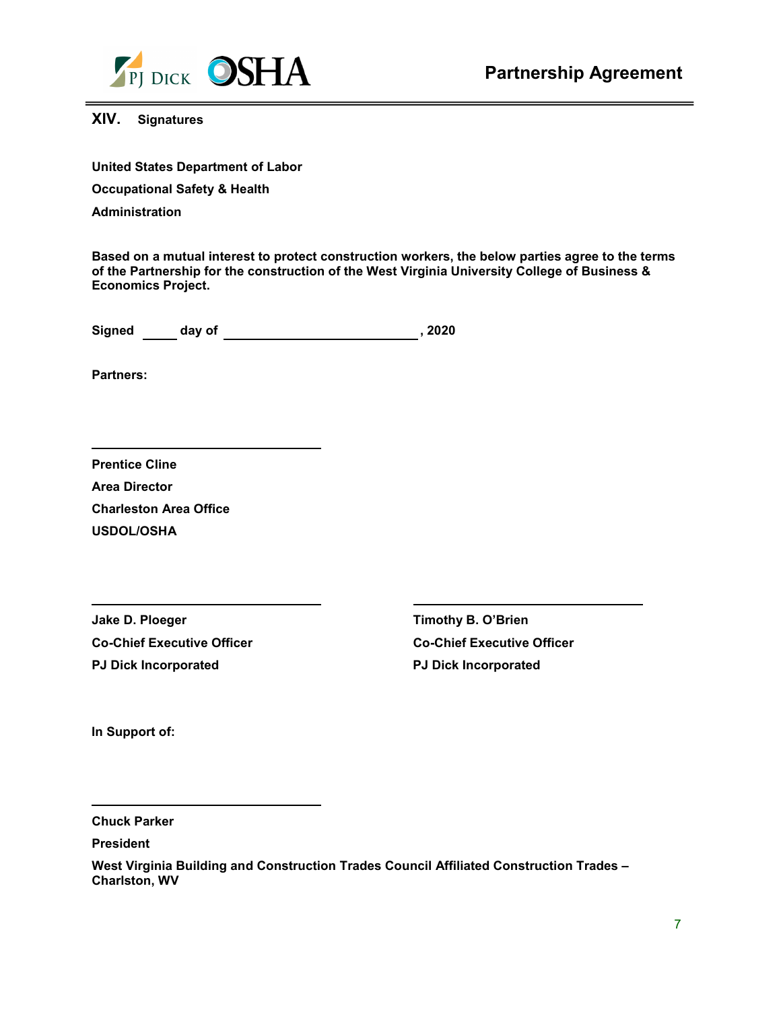

**XIV. Signatures**

**United States Department of Labor** 

**Occupational Safety & Health**

**Administration**

**Based on a mutual interest to protect construction workers, the below parties agree to the terms of the Partnership for the construction of the West Virginia University College of Business & Economics Project.**

**Signed day of , 2020**

**Partners:** 

| <b>Prentice Cline</b>         |
|-------------------------------|
| <b>Area Director</b>          |
| <b>Charleston Area Office</b> |
| <b>USDOL/OSHA</b>             |

**Jake D. Ploeger Timothy B. O'Brien Co-Chief Executive Officer Co-Chief Executive Officer PJ Dick Incorporated PJ Dick Incorporated**

**In Support of:**

**Chuck Parker**

**President**

**West Virginia Building and Construction Trades Council Affiliated Construction Trades – Charlston, WV**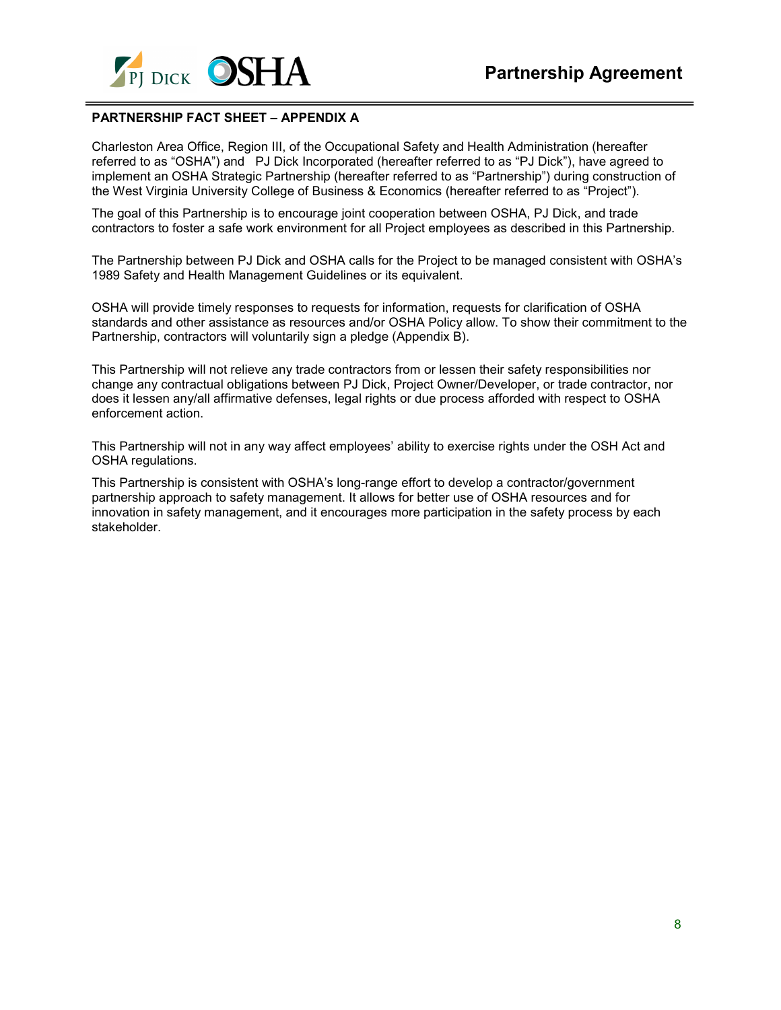

## **PARTNERSHIP FACT SHEET – APPENDIX A**

Charleston Area Office, Region III, of the Occupational Safety and Health Administration (hereafter referred to as "OSHA") and PJ Dick Incorporated (hereafter referred to as "PJ Dick"), have agreed to implement an OSHA Strategic Partnership (hereafter referred to as "Partnership") during construction of the West Virginia University College of Business & Economics (hereafter referred to as "Project").

The goal of this Partnership is to encourage joint cooperation between OSHA, PJ Dick, and trade contractors to foster a safe work environment for all Project employees as described in this Partnership.

The Partnership between PJ Dick and OSHA calls for the Project to be managed consistent with OSHA's 1989 Safety and Health Management Guidelines or its equivalent.

OSHA will provide timely responses to requests for information, requests for clarification of OSHA standards and other assistance as resources and/or OSHA Policy allow. To show their commitment to the Partnership, contractors will voluntarily sign a pledge (Appendix B).

This Partnership will not relieve any trade contractors from or lessen their safety responsibilities nor change any contractual obligations between PJ Dick, Project Owner/Developer, or trade contractor, nor does it lessen any/all affirmative defenses, legal rights or due process afforded with respect to OSHA enforcement action.

This Partnership will not in any way affect employees' ability to exercise rights under the OSH Act and OSHA regulations.

This Partnership is consistent with OSHA's long-range effort to develop a contractor/government partnership approach to safety management. It allows for better use of OSHA resources and for innovation in safety management, and it encourages more participation in the safety process by each stakeholder.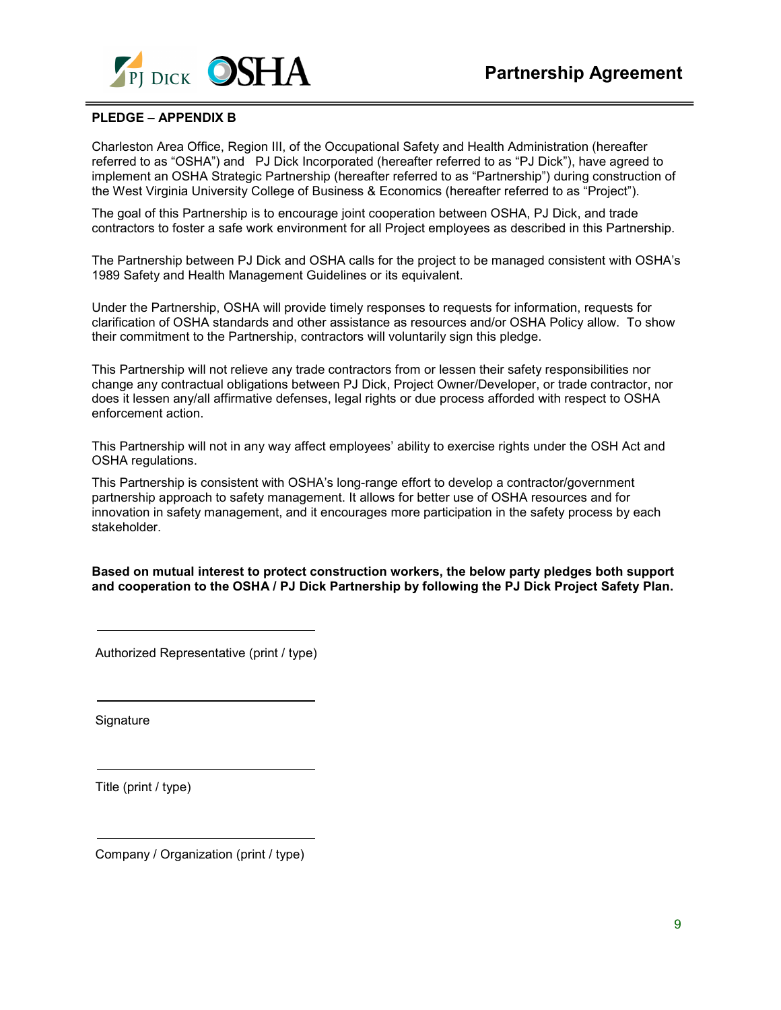

## **PLEDGE – APPENDIX B**

Charleston Area Office, Region III, of the Occupational Safety and Health Administration (hereafter referred to as "OSHA") and PJ Dick Incorporated (hereafter referred to as "PJ Dick"), have agreed to implement an OSHA Strategic Partnership (hereafter referred to as "Partnership") during construction of the West Virginia University College of Business & Economics (hereafter referred to as "Project").

The goal of this Partnership is to encourage joint cooperation between OSHA, PJ Dick, and trade contractors to foster a safe work environment for all Project employees as described in this Partnership.

The Partnership between PJ Dick and OSHA calls for the project to be managed consistent with OSHA's 1989 Safety and Health Management Guidelines or its equivalent.

Under the Partnership, OSHA will provide timely responses to requests for information, requests for clarification of OSHA standards and other assistance as resources and/or OSHA Policy allow. To show their commitment to the Partnership, contractors will voluntarily sign this pledge.

This Partnership will not relieve any trade contractors from or lessen their safety responsibilities nor change any contractual obligations between PJ Dick, Project Owner/Developer, or trade contractor, nor does it lessen any/all affirmative defenses, legal rights or due process afforded with respect to OSHA enforcement action.

This Partnership will not in any way affect employees' ability to exercise rights under the OSH Act and OSHA regulations.

This Partnership is consistent with OSHA's long-range effort to develop a contractor/government partnership approach to safety management. It allows for better use of OSHA resources and for innovation in safety management, and it encourages more participation in the safety process by each stakeholder.

**Based on mutual interest to protect construction workers, the below party pledges both support and cooperation to the OSHA / PJ Dick Partnership by following the PJ Dick Project Safety Plan.** 

Authorized Representative (print / type)

Signature

Title (print / type)

Company / Organization (print / type)